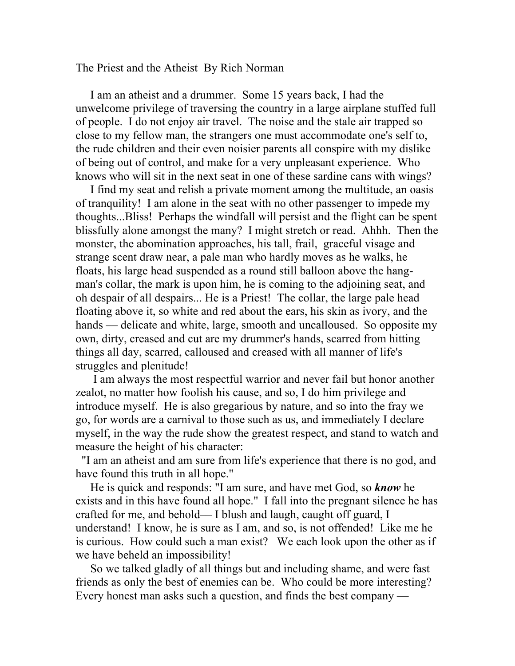The Priest and the Atheist By Rich Norman

 I am an atheist and a drummer. Some 15 years back, I had the unwelcome privilege of traversing the country in a large airplane stuffed full of people. I do not enjoy air travel. The noise and the stale air trapped so close to my fellow man, the strangers one must accommodate one's self to, the rude children and their even noisier parents all conspire with my dislike of being out of control, and make for a very unpleasant experience. Who knows who will sit in the next seat in one of these sardine cans with wings?

 I find my seat and relish a private moment among the multitude, an oasis of tranquility! I am alone in the seat with no other passenger to impede my thoughts...Bliss! Perhaps the windfall will persist and the flight can be spent blissfully alone amongst the many? I might stretch or read. Ahhh. Then the monster, the abomination approaches, his tall, frail, graceful visage and strange scent draw near, a pale man who hardly moves as he walks, he floats, his large head suspended as a round still balloon above the hangman's collar, the mark is upon him, he is coming to the adjoining seat, and oh despair of all despairs... He is a Priest! The collar, the large pale head floating above it, so white and red about the ears, his skin as ivory, and the hands — delicate and white, large, smooth and uncalloused. So opposite my own, dirty, creased and cut are my drummer's hands, scarred from hitting things all day, scarred, calloused and creased with all manner of life's struggles and plenitude!

 I am always the most respectful warrior and never fail but honor another zealot, no matter how foolish his cause, and so, I do him privilege and introduce myself. He is also gregarious by nature, and so into the fray we go, for words are a carnival to those such as us, and immediately I declare myself, in the way the rude show the greatest respect, and stand to watch and measure the height of his character:

 "I am an atheist and am sure from life's experience that there is no god, and have found this truth in all hope."

 He is quick and responds: "I am sure, and have met God, so *know* he exists and in this have found all hope." I fall into the pregnant silence he has crafted for me, and behold–– I blush and laugh, caught off guard, I understand! I know, he is sure as I am, and so, is not offended! Like me he is curious. How could such a man exist? We each look upon the other as if we have beheld an impossibility!

 So we talked gladly of all things but and including shame, and were fast friends as only the best of enemies can be. Who could be more interesting? Every honest man asks such a question, and finds the best company —